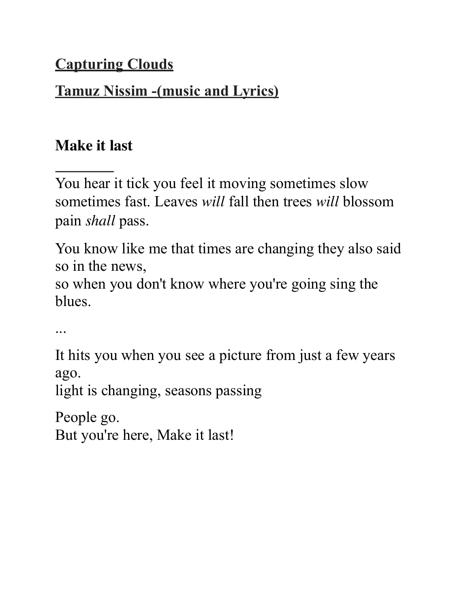# **Capturing Clouds**

# **Tamuz Nissim -(music and Lyrics)**

# **Make it last**

You hear it tick you feel it moving sometimes slow sometimes fast. Leaves *will* fall then trees *will* blossom pain *shall* pass.

You know like me that times are changing they also said so in the news,

so when you don't know where you're going sing the blues.

...

It hits you when you see a picture from just a few years ago.

light is changing, seasons passing

People go. But you're here, Make it last!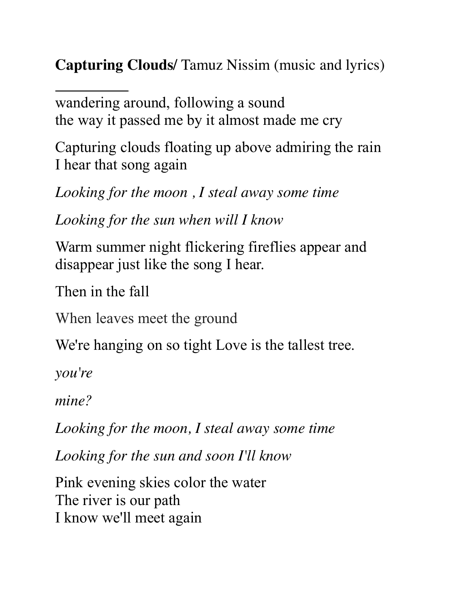**Capturing Clouds/** Tamuz Nissim (music and lyrics)

wandering around, following a sound the way it passed me by it almost made me cry

Capturing clouds floating up above admiring the rain I hear that song again

*Looking for the moon , I steal away some time* 

*Looking for the sun when will I know* 

Warm summer night flickering fireflies appear and disappear just like the song I hear.

Then in the fall

When leaves meet the ground

We're hanging on so tight Love is the tallest tree.

*you're* 

*mine?* 

*Looking for the moon, I steal away some time* 

*Looking for the sun and soon I'll know* 

Pink evening skies color the water The river is our path I know we'll meet again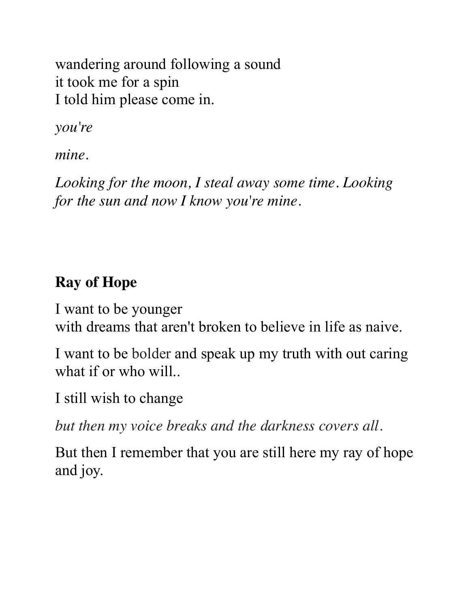wandering around following a sound it took me for a spin I told him please come in.

*you're* 

*mine.* 

*Looking for the moon, I steal away some time. Looking for the sun and now I know you're mine.* 

### **Ray of Hope**

I want to be younger with dreams that aren't broken to believe in life as naive.

I want to be bolder and speak up my truth with out caring what if or who will..

I still wish to change

*but then my voice breaks and the darkness covers all.* 

But then I remember that you are still here my ray of hope and joy.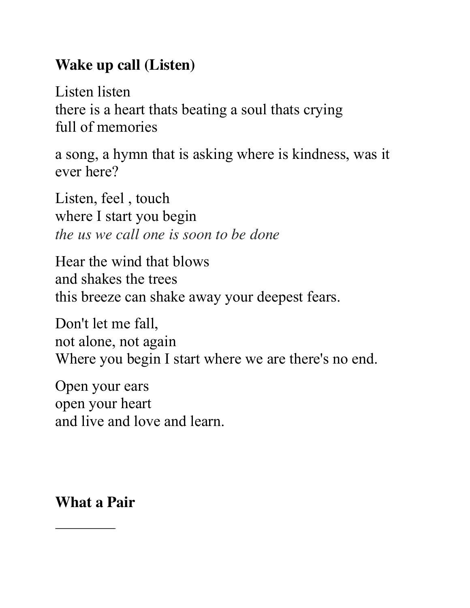#### **Wake up call (Listen)**

Listen listen there is a heart thats beating a soul thats crying full of memories

a song, a hymn that is asking where is kindness, was it ever here?

Listen, feel , touch where I start you begin *the us we call one is soon to be done* 

Hear the wind that blows and shakes the trees this breeze can shake away your deepest fears.

Don't let me fall, not alone, not again Where you begin I start where we are there's no end.

Open your ears open your heart and live and love and learn.

**What a Pair**